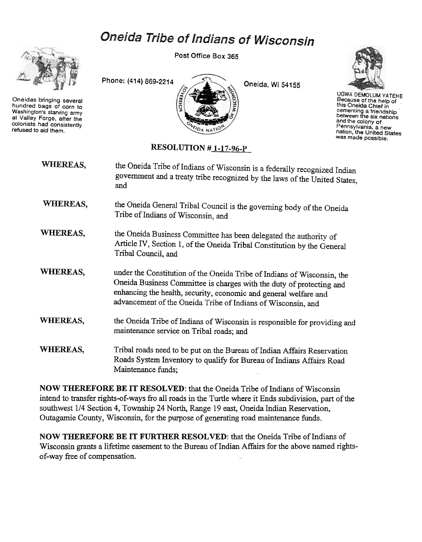## Oneida Tribe of Indians of Wisconsin



Oneidas bringing several hundred bags of corn to Washington's starving army at Valley Forge. after the colonists had consistently refused to aid them.

Post Office Box 365





UGWA DEMOLUM YATEHE Because of the help of this Oneida Chief in cementing a friendshij<br>between the six nation and the colony of Pennsylvania, a new nation, the United States was made possible.

## RESOLUTION #1-17-96-P

| WHEREAS, | the Oneida Tribe of Indians of Wisconsin is a federally recognized Indian<br>government and a treaty tribe recognized by the laws of the United States,<br>and                                                                                                                      |
|----------|-------------------------------------------------------------------------------------------------------------------------------------------------------------------------------------------------------------------------------------------------------------------------------------|
| WHEREAS, | the Oneida General Tribal Council is the governing body of the Oneida<br>Tribe of Indians of Wisconsin, and                                                                                                                                                                         |
| WHEREAS, | the Oneida Business Committee has been delegated the authority of<br>Article IV, Section 1, of the Oneida Tribal Constitution by the General<br>Tribal Council, and                                                                                                                 |
| WHEREAS, | under the Constitution of the Oneida Tribe of Indians of Wisconsin, the<br>Oneida Business Committee is charges with the duty of protecting and<br>enhancing the health, security, economic and general welfare and<br>advancement of the Oneida Tribe of Indians of Wisconsin, and |
| WHEREAS, | the Oneida Tribe of Indians of Wisconsin is responsible for providing and<br>maintenance service on Tribal roads; and                                                                                                                                                               |
| WHEREAS, | Tribal roads need to be put on the Bureau of Indian Affairs Reservation<br>Roads System Inventory to qualify for Bureau of Indians Affairs Road<br>Maintenance funds;                                                                                                               |

NOW THEREFORE BE IT RESOLVED: that the Oneida Tribe of Indians of Wisconsin intend to transfer rights-of-ways fro all roads in the Turtle where it Ends subdivision, part of the southwest 1/4 Section 4, Township 24 North, Range 19 east, Oneida Indian Reservation, Outagamie County, Wisconsin, for the purpose of generating road maintenance funds.

NOW THEREFORE BE IT FURTHER RESOLVED: that the Oneida Tribe of Indians of Wisconsin grants a lifetime easement to the Bureau of Indian Affairs for the above named rightsof-way free of compensation.